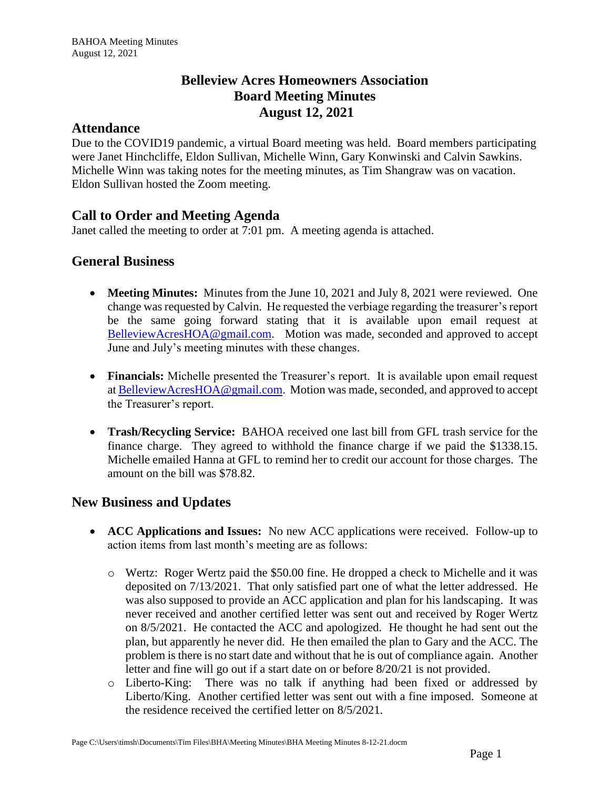# **Belleview Acres Homeowners Association Board Meeting Minutes August 12, 2021**

### **Attendance**

Due to the COVID19 pandemic, a virtual Board meeting was held. Board members participating were Janet Hinchcliffe, Eldon Sullivan, Michelle Winn, Gary Konwinski and Calvin Sawkins. Michelle Winn was taking notes for the meeting minutes, as Tim Shangraw was on vacation. Eldon Sullivan hosted the Zoom meeting.

# **Call to Order and Meeting Agenda**

Janet called the meeting to order at 7:01 pm. A meeting agenda is attached.

## **General Business**

- **Meeting Minutes:** Minutes from the June 10, 2021 and July 8, 2021 were reviewed. One change was requested by Calvin. He requested the verbiage regarding the treasurer's report be the same going forward stating that it is available upon email request at [BelleviewAcresHOA@gmail.com.](mailto:BelleviewAcresHOA@gmail.com) Motion was made, seconded and approved to accept June and July's meeting minutes with these changes.
- **Financials:** Michelle presented the Treasurer's report. It is available upon email request at [BelleviewAcresHOA@gmail.com.](mailto:BelleviewAcresHOA@gmail.com) Motion was made, seconded, and approved to accept the Treasurer's report.
- **Trash/Recycling Service:** BAHOA received one last bill from GFL trash service for the finance charge. They agreed to withhold the finance charge if we paid the \$1338.15. Michelle emailed Hanna at GFL to remind her to credit our account for those charges. The amount on the bill was \$78.82.

# **New Business and Updates**

- **ACC Applications and Issues:** No new ACC applications were received. Follow-up to action items from last month's meeting are as follows:
	- o Wertz: Roger Wertz paid the \$50.00 fine. He dropped a check to Michelle and it was deposited on 7/13/2021. That only satisfied part one of what the letter addressed. He was also supposed to provide an ACC application and plan for his landscaping. It was never received and another certified letter was sent out and received by Roger Wertz on 8/5/2021. He contacted the ACC and apologized. He thought he had sent out the plan, but apparently he never did. He then emailed the plan to Gary and the ACC. The problem is there is no start date and without that he is out of compliance again. Another letter and fine will go out if a start date on or before 8/20/21 is not provided.
	- o Liberto-King: There was no talk if anything had been fixed or addressed by Liberto/King. Another certified letter was sent out with a fine imposed. Someone at the residence received the certified letter on 8/5/2021.